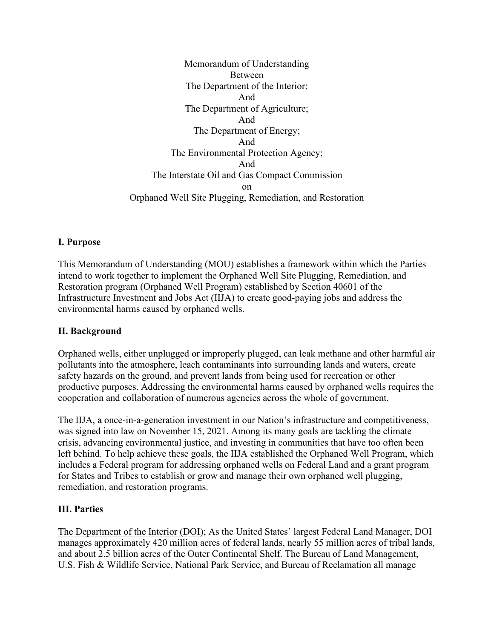Memorandum of Understanding Between The Department of the Interior; And The Department of Agriculture; And The Department of Energy; And The Environmental Protection Agency; And The Interstate Oil and Gas Compact Commission on Orphaned Well Site Plugging, Remediation, and Restoration

#### **I. Purpose**

This Memorandum of Understanding (MOU) establishes a framework within which the Parties intend to work together to implement the Orphaned Well Site Plugging, Remediation, and Restoration program (Orphaned Well Program) established by Section 40601 of the Infrastructure Investment and Jobs Act (IIJA) to create good-paying jobs and address the environmental harms caused by orphaned wells.

#### **II. Background**

Orphaned wells, either unplugged or improperly plugged, can leak methane and other harmful air pollutants into the atmosphere, leach contaminants into surrounding lands and waters, create safety hazards on the ground, and prevent lands from being used for recreation or other productive purposes. Addressing the environmental harms caused by orphaned wells requires the cooperation and collaboration of numerous agencies across the whole of government.

The IIJA, a once-in-a-generation investment in our Nation's infrastructure and competitiveness, was signed into law on November 15, 2021. Among its many goals are tackling the climate crisis, advancing environmental justice, and investing in communities that have too often been left behind. To help achieve these goals, the IIJA established the Orphaned Well Program, which includes a Federal program for addressing orphaned wells on Federal Land and a grant program for States and Tribes to establish or grow and manage their own orphaned well plugging, remediation, and restoration programs.

#### **III. Parties**

The Department of the Interior (DOI); As the United States' largest Federal Land Manager, DOI manages approximately 420 million acres of federal lands, nearly 55 million acres of tribal lands, and about 2.5 billion acres of the Outer Continental Shelf. The Bureau of Land Management, U.S. Fish & Wildlife Service, National Park Service, and Bureau of Reclamation all manage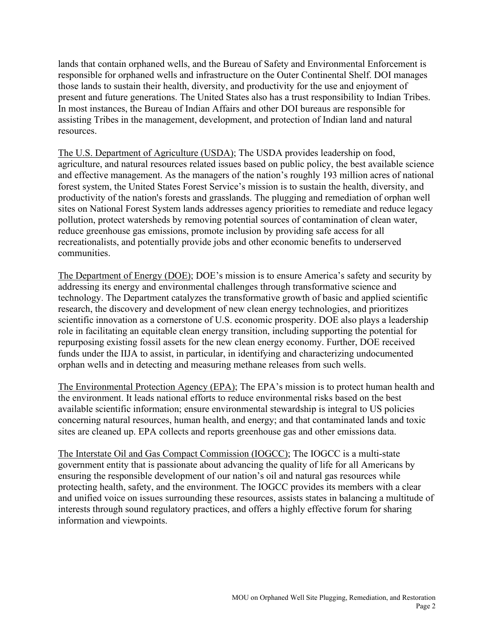lands that contain orphaned wells, and the Bureau of Safety and Environmental Enforcement is responsible for orphaned wells and infrastructure on the Outer Continental Shelf. DOI manages those lands to sustain their health, diversity, and productivity for the use and enjoyment of present and future generations. The United States also has a trust responsibility to Indian Tribes. In most instances, the Bureau of Indian Affairs and other DOI bureaus are responsible for assisting Tribes in the management, development, and protection of Indian land and natural resources.

The U.S. Department of Agriculture (USDA); The USDA provides leadership on food, agriculture, and natural resources related issues based on public policy, the best available science and effective management. As the managers of the nation's roughly 193 million acres of national forest system, the United States Forest Service's mission is to sustain the health, diversity, and productivity of the nation's forests and grasslands. The plugging and remediation of orphan well sites on National Forest System lands addresses agency priorities to remediate and reduce legacy pollution, protect watersheds by removing potential sources of contamination of clean water, reduce greenhouse gas emissions, promote inclusion by providing safe access for all recreationalists, and potentially provide jobs and other economic benefits to underserved communities.

The Department of Energy (DOE); DOE's mission is to ensure America's safety and security by addressing its energy and environmental challenges through transformative science and technology. The Department catalyzes the transformative growth of basic and applied scientific research, the discovery and development of new clean energy technologies, and prioritizes scientific innovation as a cornerstone of U.S. economic prosperity. DOE also plays a leadership role in facilitating an equitable clean energy transition, including supporting the potential for repurposing existing fossil assets for the new clean energy economy. Further, DOE received funds under the IIJA to assist, in particular, in identifying and characterizing undocumented orphan wells and in detecting and measuring methane releases from such wells.

The Environmental Protection Agency (EPA); The EPA's mission is to protect human health and the environment. It leads national efforts to reduce environmental risks based on the best available scientific information; ensure environmental stewardship is integral to US policies concerning natural resources, human health, and energy; and that contaminated lands and toxic sites are cleaned up. EPA collects and reports greenhouse gas and other emissions data.

The Interstate Oil and Gas Compact Commission (IOGCC); The IOGCC is a multi-state government entity that is passionate about advancing the quality of life for all Americans by ensuring the responsible development of our nation's oil and natural gas resources while protecting health, safety, and the environment. The IOGCC provides its members with a clear and unified voice on issues surrounding these resources, assists states in balancing a multitude of interests through sound regulatory practices, and offers a highly effective forum for sharing information and viewpoints.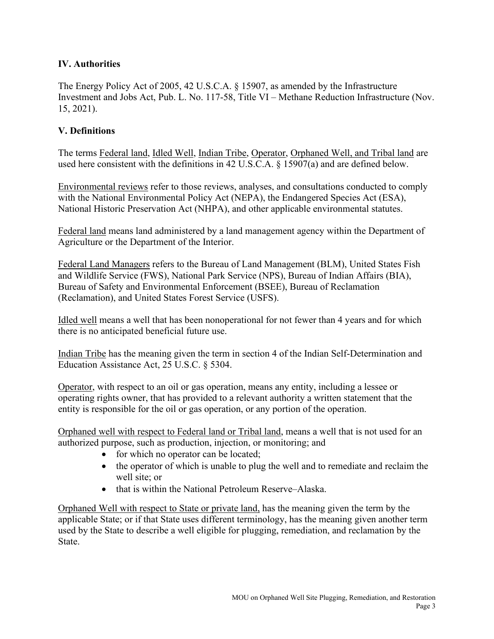## **IV. Authorities**

The Energy Policy Act of 2005, 42 U.S.C.A. § 15907, as amended by the Infrastructure Investment and Jobs Act, Pub. L. No. 117-58, Title VI – Methane Reduction Infrastructure (Nov. 15, 2021).

### **V. Definitions**

The terms Federal land, Idled Well, Indian Tribe, Operator, Orphaned Well, and Tribal land are used here consistent with the definitions in 42 U.S.C.A. § 15907(a) and are defined below.

Environmental reviews refer to those reviews, analyses, and consultations conducted to comply with the National Environmental Policy Act (NEPA), the Endangered Species Act (ESA), National Historic Preservation Act (NHPA), and other applicable environmental statutes.

Federal land means land administered by a land management agency within the Department of Agriculture or the Department of the Interior.

Federal Land Managers refers to the Bureau of Land Management (BLM), United States Fish and Wildlife Service (FWS), National Park Service (NPS), Bureau of Indian Affairs (BIA), Bureau of Safety and Environmental Enforcement (BSEE), Bureau of Reclamation (Reclamation), and United States Forest Service (USFS).

Idled well means a well that has been nonoperational for not fewer than 4 years and for which there is no anticipated beneficial future use.

Indian Tribe has the meaning given the term in section 4 of the Indian Self-Determination and Education Assistance Act, 25 U.S.C. § 5304.

Operator, with respect to an oil or gas operation, means any entity, including a lessee or operating rights owner, that has provided to a relevant authority a written statement that the entity is responsible for the oil or gas operation, or any portion of the operation.

Orphaned well with respect to Federal land or Tribal land, means a well that is not used for an authorized purpose, such as production, injection, or monitoring; and

- for which no operator can be located;
- the operator of which is unable to plug the well and to remediate and reclaim the well site; or
- that is within the National Petroleum Reserve–Alaska.

Orphaned Well with respect to State or private land, has the meaning given the term by the applicable State; or if that State uses different terminology, has the meaning given another term used by the State to describe a well eligible for plugging, remediation, and reclamation by the State.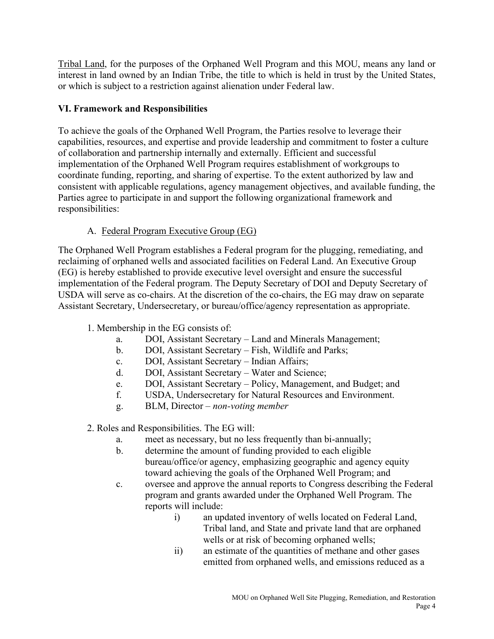Tribal Land, for the purposes of the Orphaned Well Program and this MOU, means any land or interest in land owned by an Indian Tribe, the title to which is held in trust by the United States, or which is subject to a restriction against alienation under Federal law.

## **VI. Framework and Responsibilities**

To achieve the goals of the Orphaned Well Program, the Parties resolve to leverage their capabilities, resources, and expertise and provide leadership and commitment to foster a culture of collaboration and partnership internally and externally. Efficient and successful implementation of the Orphaned Well Program requires establishment of workgroups to coordinate funding, reporting, and sharing of expertise. To the extent authorized by law and consistent with applicable regulations, agency management objectives, and available funding, the Parties agree to participate in and support the following organizational framework and responsibilities:

# A. Federal Program Executive Group (EG)

The Orphaned Well Program establishes a Federal program for the plugging, remediating, and reclaiming of orphaned wells and associated facilities on Federal Land. An Executive Group (EG) is hereby established to provide executive level oversight and ensure the successful implementation of the Federal program. The Deputy Secretary of DOI and Deputy Secretary of USDA will serve as co-chairs. At the discretion of the co-chairs, the EG may draw on separate Assistant Secretary, Undersecretary, or bureau/office/agency representation as appropriate.

- 1. Membership in the EG consists of:
	- a. DOI, Assistant Secretary Land and Minerals Management;
	- b. DOI, Assistant Secretary Fish, Wildlife and Parks;
	- c. DOI, Assistant Secretary Indian Affairs;
	- d. DOI, Assistant Secretary Water and Science;
	- e. DOI, Assistant Secretary Policy, Management, and Budget; and
	- f. USDA, Undersecretary for Natural Resources and Environment.
	- g. BLM, Director *non-voting member*

2. Roles and Responsibilities. The EG will:

- a. meet as necessary, but no less frequently than bi-annually;
- b. determine the amount of funding provided to each eligible bureau/office/or agency, emphasizing geographic and agency equity toward achieving the goals of the Orphaned Well Program; and
- c. oversee and approve the annual reports to Congress describing the Federal program and grants awarded under the Orphaned Well Program. The reports will include:
	- i) an updated inventory of wells located on Federal Land, Tribal land, and State and private land that are orphaned wells or at risk of becoming orphaned wells;
	- ii) an estimate of the quantities of methane and other gases emitted from orphaned wells, and emissions reduced as a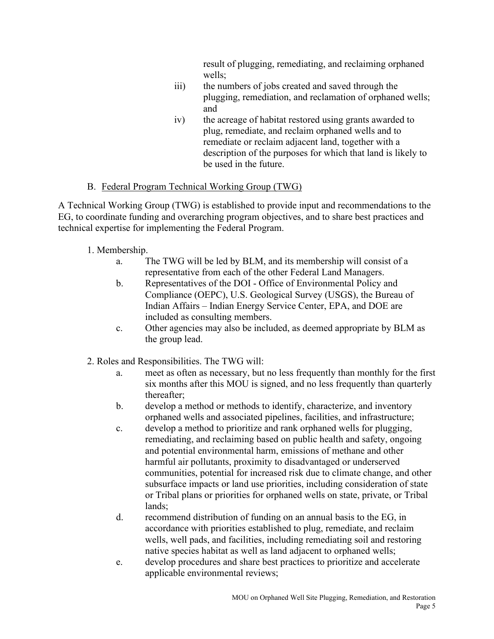result of plugging, remediating, and reclaiming orphaned wells;

- iii) the numbers of jobs created and saved through the plugging, remediation, and reclamation of orphaned wells; and
- iv) the acreage of habitat restored using grants awarded to plug, remediate, and reclaim orphaned wells and to remediate or reclaim adjacent land, together with a description of the purposes for which that land is likely to be used in the future.

## B. Federal Program Technical Working Group (TWG)

A Technical Working Group (TWG) is established to provide input and recommendations to the EG, to coordinate funding and overarching program objectives, and to share best practices and technical expertise for implementing the Federal Program.

## 1. Membership.

- a. The TWG will be led by BLM, and its membership will consist of a representative from each of the other Federal Land Managers.
- b. Representatives of the DOI Office of Environmental Policy and Compliance (OEPC), U.S. Geological Survey (USGS), the Bureau of Indian Affairs – Indian Energy Service Center, EPA, and DOE are included as consulting members.
- c. Other agencies may also be included, as deemed appropriate by BLM as the group lead.
- 2. Roles and Responsibilities. The TWG will:
	- a. meet as often as necessary, but no less frequently than monthly for the first six months after this MOU is signed, and no less frequently than quarterly thereafter;
	- b. develop a method or methods to identify, characterize, and inventory orphaned wells and associated pipelines, facilities, and infrastructure;
	- c. develop a method to prioritize and rank orphaned wells for plugging, remediating, and reclaiming based on public health and safety, ongoing and potential environmental harm, emissions of methane and other harmful air pollutants, proximity to disadvantaged or underserved communities, potential for increased risk due to climate change, and other subsurface impacts or land use priorities, including consideration of state or Tribal plans or priorities for orphaned wells on state, private, or Tribal lands;
	- d. recommend distribution of funding on an annual basis to the EG, in accordance with priorities established to plug, remediate, and reclaim wells, well pads, and facilities, including remediating soil and restoring native species habitat as well as land adjacent to orphaned wells;
	- e. develop procedures and share best practices to prioritize and accelerate applicable environmental reviews;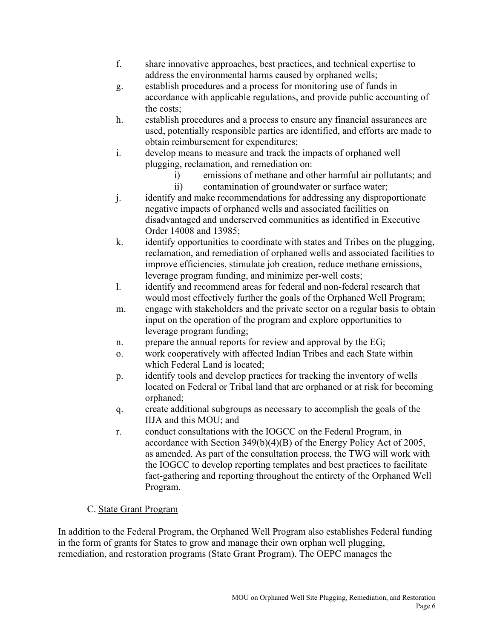- f. share innovative approaches, best practices, and technical expertise to address the environmental harms caused by orphaned wells;
- g. establish procedures and a process for monitoring use of funds in accordance with applicable regulations, and provide public accounting of the costs;
- h. establish procedures and a process to ensure any financial assurances are used, potentially responsible parties are identified, and efforts are made to obtain reimbursement for expenditures;
- i. develop means to measure and track the impacts of orphaned well plugging, reclamation, and remediation on:
	- i) emissions of methane and other harmful air pollutants; and
	- ii) contamination of groundwater or surface water;
- j. identify and make recommendations for addressing any disproportionate negative impacts of orphaned wells and associated facilities on disadvantaged and underserved communities as identified in Executive Order 14008 and 13985;
- k. identify opportunities to coordinate with states and Tribes on the plugging, reclamation, and remediation of orphaned wells and associated facilities to improve efficiencies, stimulate job creation, reduce methane emissions, leverage program funding, and minimize per-well costs;
- l. identify and recommend areas for federal and non-federal research that would most effectively further the goals of the Orphaned Well Program;
- m. engage with stakeholders and the private sector on a regular basis to obtain input on the operation of the program and explore opportunities to leverage program funding;
- n. prepare the annual reports for review and approval by the EG;
- o. work cooperatively with affected Indian Tribes and each State within which Federal Land is located;
- p. identify tools and develop practices for tracking the inventory of wells located on Federal or Tribal land that are orphaned or at risk for becoming orphaned;
- q. create additional subgroups as necessary to accomplish the goals of the IIJA and this MOU; and
- r. conduct consultations with the IOGCC on the Federal Program, in accordance with Section 349(b)(4)(B) of the Energy Policy Act of 2005, as amended. As part of the consultation process, the TWG will work with the IOGCC to develop reporting templates and best practices to facilitate fact-gathering and reporting throughout the entirety of the Orphaned Well Program.

## C. State Grant Program

In addition to the Federal Program, the Orphaned Well Program also establishes Federal funding in the form of grants for States to grow and manage their own orphan well plugging, remediation, and restoration programs (State Grant Program). The OEPC manages the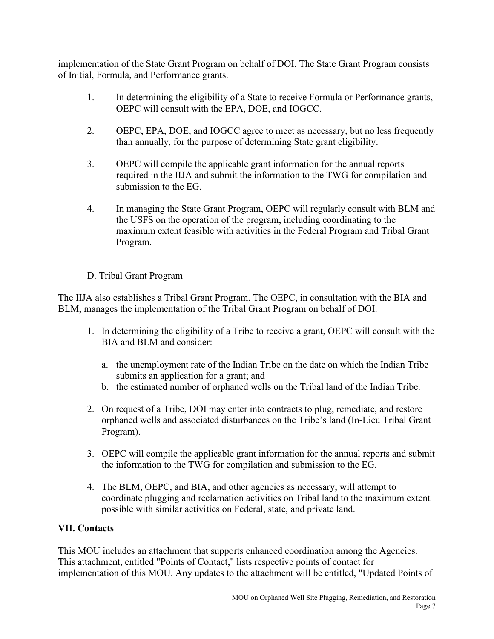implementation of the State Grant Program on behalf of DOI. The State Grant Program consists of Initial, Formula, and Performance grants.

- 1. In determining the eligibility of a State to receive Formula or Performance grants, OEPC will consult with the EPA, DOE, and IOGCC.
- 2. OEPC, EPA, DOE, and IOGCC agree to meet as necessary, but no less frequently than annually, for the purpose of determining State grant eligibility.
- 3. OEPC will compile the applicable grant information for the annual reports required in the IIJA and submit the information to the TWG for compilation and submission to the EG.
- 4. In managing the State Grant Program, OEPC will regularly consult with BLM and the USFS on the operation of the program, including coordinating to the maximum extent feasible with activities in the Federal Program and Tribal Grant Program.

## D. Tribal Grant Program

The IIJA also establishes a Tribal Grant Program. The OEPC, in consultation with the BIA and BLM, manages the implementation of the Tribal Grant Program on behalf of DOI.

- 1. In determining the eligibility of a Tribe to receive a grant, OEPC will consult with the BIA and BLM and consider:
	- a. the unemployment rate of the Indian Tribe on the date on which the Indian Tribe submits an application for a grant; and
	- b. the estimated number of orphaned wells on the Tribal land of the Indian Tribe.
- 2. On request of a Tribe, DOI may enter into contracts to plug, remediate, and restore orphaned wells and associated disturbances on the Tribe's land (In-Lieu Tribal Grant Program).
- 3. OEPC will compile the applicable grant information for the annual reports and submit the information to the TWG for compilation and submission to the EG.
- 4. The BLM, OEPC, and BIA, and other agencies as necessary, will attempt to coordinate plugging and reclamation activities on Tribal land to the maximum extent possible with similar activities on Federal, state, and private land.

# **VII. Contacts**

This MOU includes an attachment that supports enhanced coordination among the Agencies. This attachment, entitled "Points of Contact," lists respective points of contact for implementation of this MOU. Any updates to the attachment will be entitled, "Updated Points of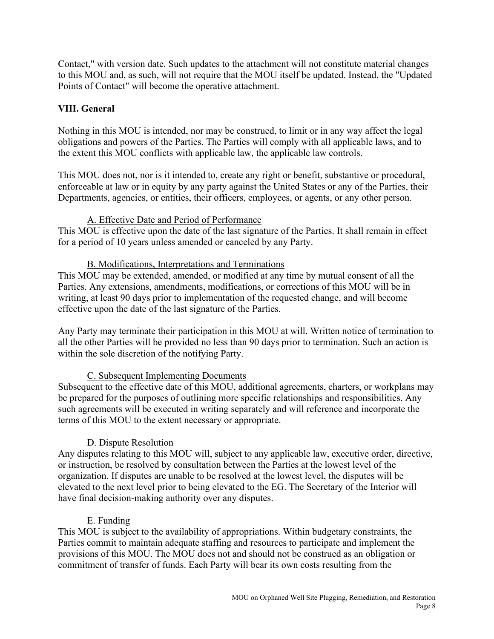Contact," with version date. Such updates to the attachment will not constitute material changes to this MOU and, as such, will not require that the MOU itself be updated. Instead, the "Updated Points of Contact" will become the operative attachment.

### **VIII. General**

Nothing in this MOU is intended, nor may be construed, to limit or in any way affect the legal obligations and powers of the Parties. The Parties will comply with all applicable laws, and to the extent this MOU conflicts with applicable law, the applicable law controls.

This MOU does not, nor is it intended to, create any right or benefit, substantive or procedural, enforceable at law or in equity by any party against the United States or any of the Parties, their Departments, agencies, or entities, their officers, employees, or agents, or any other person.

### A. Effective Date and Period of Performance

This MOU is effective upon the date of the last signature of the Parties. It shall remain in effect for a period of 10 years unless amended or canceled by any Party.

#### B. Modifications, Interpretations and Terminations

This MOU may be extended, amended, or modified at any time by mutual consent of all the Parties. Any extensions, amendments, modifications, or corrections of this MOU will be in writing, at least 90 days prior to implementation of the requested change, and will become effective upon the date of the last signature of the Parties.

Any Party may terminate their participation in this MOU at will. Written notice of termination to all the other Parties will be provided no less than 90 days prior to termination. Such an action is within the sole discretion of the notifying Party.

#### C. Subsequent Implementing Documents

Subsequent to the effective date of this MOU, additional agreements, charters, or workplans may be prepared for the purposes of outlining more specific relationships and responsibilities. Any such agreements will be executed in writing separately and will reference and incorporate the terms of this MOU to the extent necessary or appropriate.

#### D. Dispute Resolution

Any disputes relating to this MOU will, subject to any applicable law, executive order, directive, or instruction, be resolved by consultation between the Parties at the lowest level of the organization. If disputes are unable to be resolved at the lowest level, the disputes will be elevated to the next level prior to being elevated to the EG. The Secretary of the Interior will have final decision-making authority over any disputes.

#### E. Funding

This MOU is subject to the availability of appropriations. Within budgetary constraints, the Parties commit to maintain adequate staffing and resources to participate and implement the provisions of this MOU. The MOU does not and should not be construed as an obligation or commitment of transfer of funds. Each Party will bear its own costs resulting from the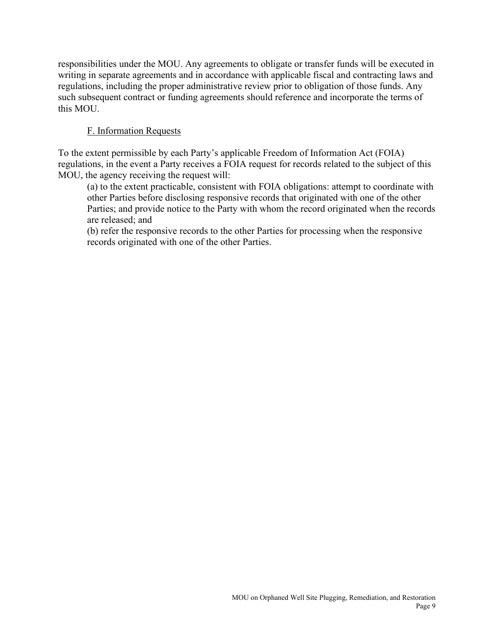responsibilities under the MOU. Any agreements to obligate or transfer funds will be executed in writing in separate agreements and in accordance with applicable fiscal and contracting laws and regulations, including the proper administrative review prior to obligation of those funds. Any such subsequent contract or funding agreements should reference and incorporate the terms of this MOU.

### F. Information Requests

To the extent permissible by each Party's applicable Freedom of Information Act (FOIA) regulations, in the event a Party receives a FOIA request for records related to the subject of this MOU, the agency receiving the request will:

(a) to the extent practicable, consistent with FOIA obligations: attempt to coordinate with other Parties before disclosing responsive records that originated with one of the other Parties; and provide notice to the Party with whom the record originated when the records are released; and

(b) refer the responsive records to the other Parties for processing when the responsive records originated with one of the other Parties.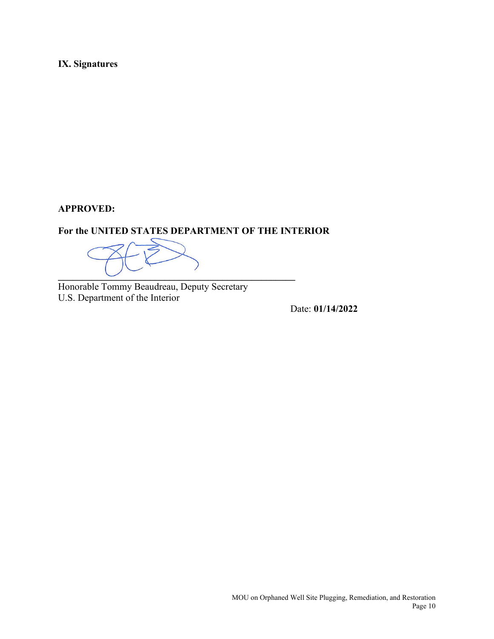**IX. Signatures**

#### **APPROVED:**

#### **For the UNITED STATES DEPARTMENT OF THE INTERIOR**

**\_\_\_\_\_\_\_\_\_\_\_\_\_\_\_\_\_\_\_\_\_\_\_\_\_\_\_\_\_\_\_\_\_\_\_\_\_\_\_\_\_\_\_\_\_\_\_\_\_** 

Honorable Tommy Beaudreau, Deputy Secretary U.S. Department of the Interior

Date: **01/14/2022**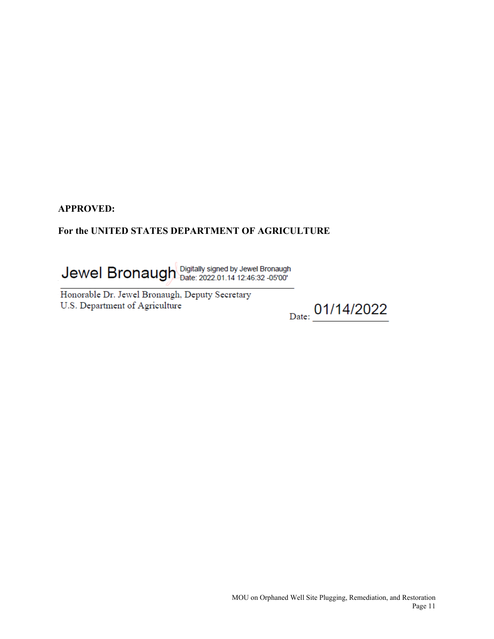## **For the UNITED STATES DEPARTMENT OF AGRICULTURE**

Jewel Bronaugh Digitally signed by Jewel Bronaugh

U.S. Department of Agriculture  $\frac{y}{\sqrt{1-\frac{y^2}{2}}}$ Honorable Dr. Jewel Bronaugh,

Date: 01/14/2022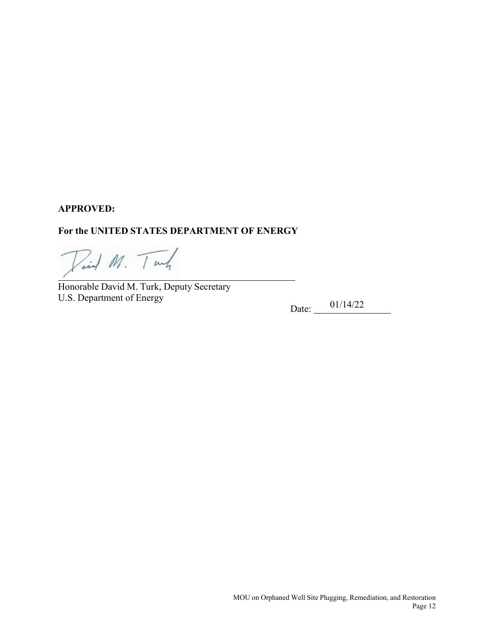#### **For the UNITED STATES DEPARTMENT OF ENERGY**

Paid M. Tunk

 Honorable David M. Turk, Deputy Secretary U.S. Department of Energy

Date:  $-$  01/14/22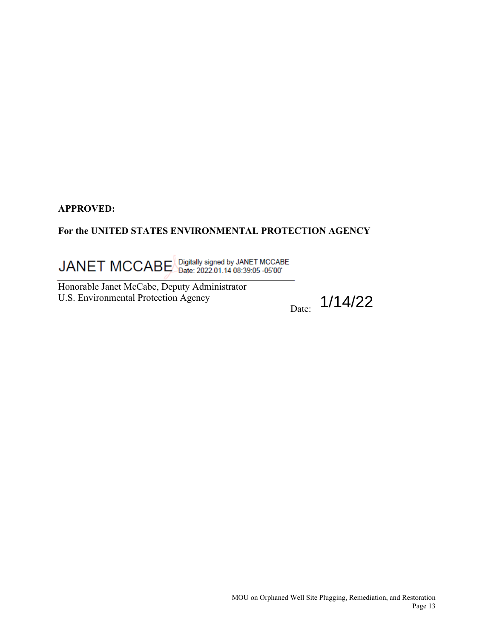### **For the UNITED STATES ENVIRONMENTAL PROTECTION AGENCY**

JANET MCCABE Digitally signed by JANET MCCABE

Honorable Janet McCabe, Deputy Administrator U.S. Environmental Protection Agency

 $_{\rm Date:}$  1/14/22

MOU on Orphaned Well Site Plugging, Remediation, and Restoration Page 13